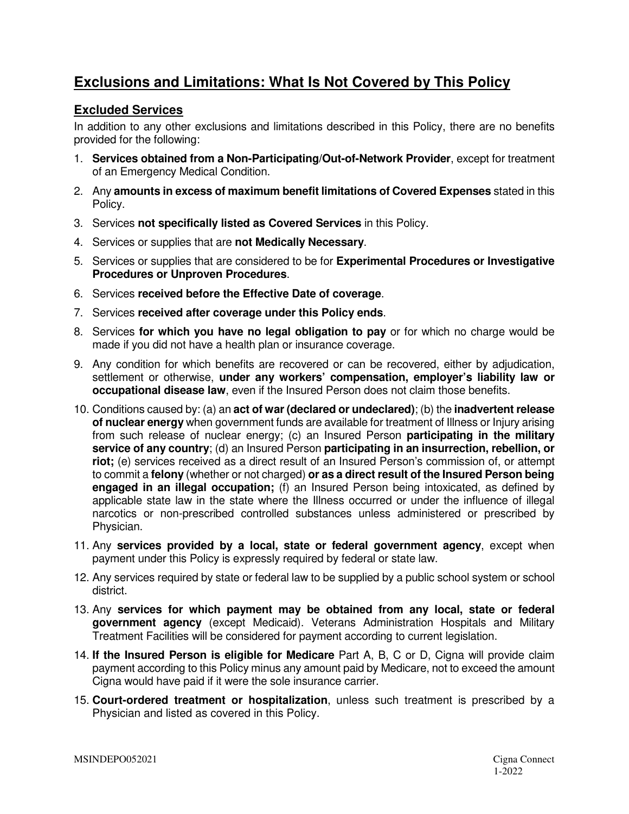## **Exclusions and Limitations: What Is Not Covered by This Policy**

## **Excluded Services**

In addition to any other exclusions and limitations described in this Policy, there are no benefits provided for the following:

- 1. **Services obtained from a Non-Participating/Out-of-Network Provider**, except for treatment of an Emergency Medical Condition.
- 2. Any **amounts in excess of maximum benefit limitations of Covered Expenses** stated in this Policy.
- 3. Services **not specifically listed as Covered Services** in this Policy.
- 4. Services or supplies that are **not Medically Necessary**.
- 5. Services or supplies that are considered to be for **Experimental Procedures or Investigative Procedures or Unproven Procedures**.
- 6. Services **received before the Effective Date of coverage**.
- 7. Services **received after coverage under this Policy ends**.
- 8. Services **for which you have no legal obligation to pay** or for which no charge would be made if you did not have a health plan or insurance coverage.
- 9. Any condition for which benefits are recovered or can be recovered, either by adjudication, settlement or otherwise, **under any workers' compensation, employer's liability law or occupational disease law**, even if the Insured Person does not claim those benefits.
- 10. Conditions caused by: (a) an **act of war (declared or undeclared)**; (b) the **inadvertent release of nuclear energy** when government funds are available for treatment of Illness or Injury arising from such release of nuclear energy; (c) an Insured Person **participating in the military service of any country**; (d) an Insured Person **participating in an insurrection, rebellion, or riot;** (e) services received as a direct result of an Insured Person's commission of, or attempt to commit a **felony** (whether or not charged) **or as a direct result of the Insured Person being engaged in an illegal occupation;** (f) an Insured Person being intoxicated, as defined by applicable state law in the state where the Illness occurred or under the influence of illegal narcotics or non-prescribed controlled substances unless administered or prescribed by Physician.
- 11. Any **services provided by a local, state or federal government agency**, except when payment under this Policy is expressly required by federal or state law.
- 12. Any services required by state or federal law to be supplied by a public school system or school district.
- 13. Any **services for which payment may be obtained from any local, state or federal government agency** (except Medicaid). Veterans Administration Hospitals and Military Treatment Facilities will be considered for payment according to current legislation.
- 14. **If the Insured Person is eligible for Medicare** Part A, B, C or D, Cigna will provide claim payment according to this Policy minus any amount paid by Medicare, not to exceed the amount Cigna would have paid if it were the sole insurance carrier.
- 15. **Court-ordered treatment or hospitalization**, unless such treatment is prescribed by a Physician and listed as covered in this Policy.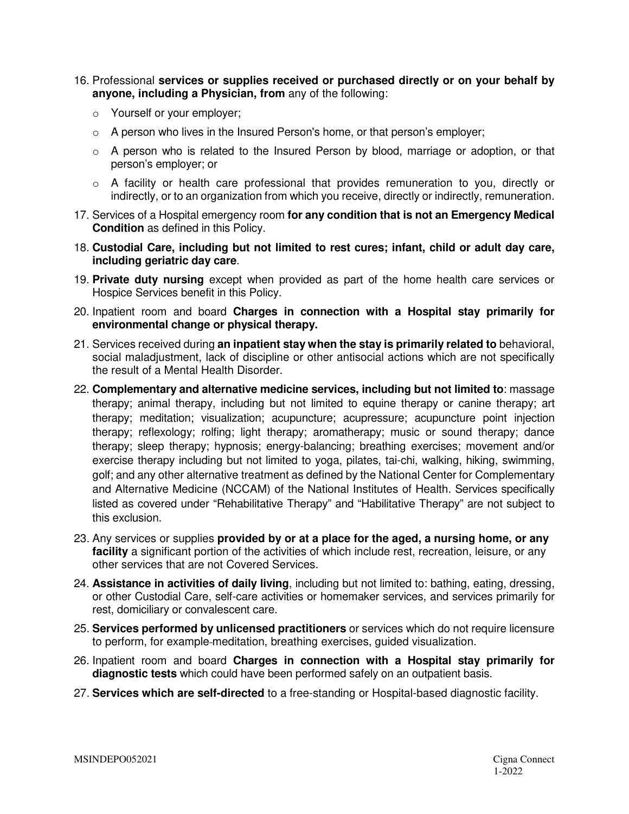- 16. Professional **services or supplies received or purchased directly or on your behalf by anyone, including a Physician, from** any of the following:
	- o Yourself or your employer;
	- $\circ$  A person who lives in the Insured Person's home, or that person's employer;
	- $\circ$  A person who is related to the Insured Person by blood, marriage or adoption, or that person's employer; or
	- $\circ$  A facility or health care professional that provides remuneration to you, directly or indirectly, or to an organization from which you receive, directly or indirectly, remuneration.
- 17. Services of a Hospital emergency room **for any condition that is not an Emergency Medical Condition** as defined in this Policy.
- 18. **Custodial Care, including but not limited to rest cures; infant, child or adult day care, including geriatric day care**.
- 19. **Private duty nursing** except when provided as part of the home health care services or Hospice Services benefit in this Policy.
- 20. Inpatient room and board **Charges in connection with a Hospital stay primarily for environmental change or physical therapy.**
- 21. Services received during **an inpatient stay when the stay is primarily related to** behavioral, social maladjustment, lack of discipline or other antisocial actions which are not specifically the result of a Mental Health Disorder.
- 22. **Complementary and alternative medicine services, including but not limited to**: massage therapy; animal therapy, including but not limited to equine therapy or canine therapy; art therapy; meditation; visualization; acupuncture; acupressure; acupuncture point injection therapy; reflexology; rolfing; light therapy; aromatherapy; music or sound therapy; dance therapy; sleep therapy; hypnosis; energy-balancing; breathing exercises; movement and/or exercise therapy including but not limited to yoga, pilates, tai-chi, walking, hiking, swimming, golf; and any other alternative treatment as defined by the National Center for Complementary and Alternative Medicine (NCCAM) of the National Institutes of Health. Services specifically listed as covered under "Rehabilitative Therapy" and "Habilitative Therapy" are not subject to this exclusion.
- 23. Any services or supplies **provided by or at a place for the aged, a nursing home, or any facility** a significant portion of the activities of which include rest, recreation, leisure, or any other services that are not Covered Services.
- 24. **Assistance in activities of daily living**, including but not limited to: bathing, eating, dressing, or other Custodial Care, self-care activities or homemaker services, and services primarily for rest, domiciliary or convalescent care.
- 25. **Services performed by unlicensed practitioners** or services which do not require licensure to perform, for example-meditation, breathing exercises, guided visualization.
- 26. Inpatient room and board **Charges in connection with a Hospital stay primarily for diagnostic tests** which could have been performed safely on an outpatient basis.
- 27. **Services which are self-directed** to a free-standing or Hospital-based diagnostic facility.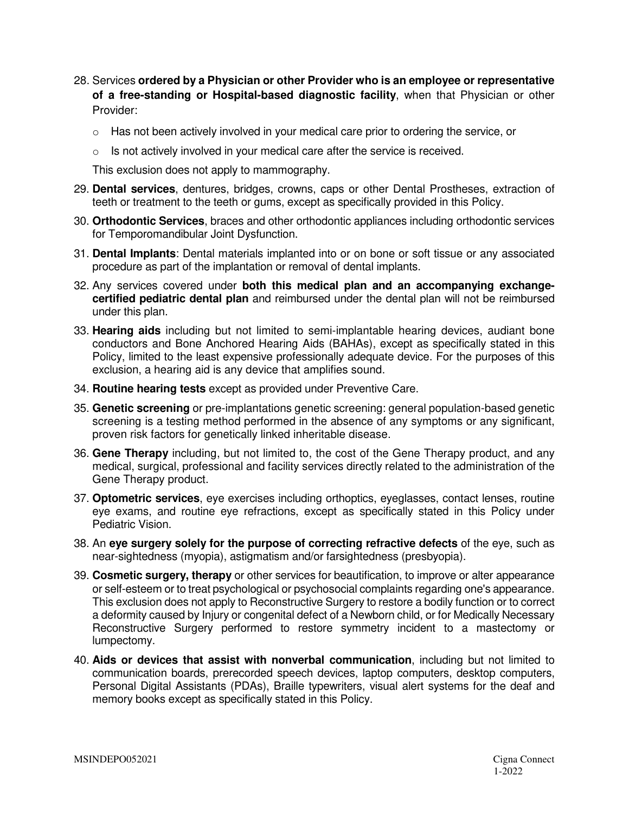- 28. Services **ordered by a Physician or other Provider who is an employee or representative of a free-standing or Hospital-based diagnostic facility**, when that Physician or other Provider:
	- $\circ$  Has not been actively involved in your medical care prior to ordering the service, or
	- $\circ$  Is not actively involved in your medical care after the service is received.

This exclusion does not apply to mammography.

- 29. **Dental services**, dentures, bridges, crowns, caps or other Dental Prostheses, extraction of teeth or treatment to the teeth or gums, except as specifically provided in this Policy.
- 30. **Orthodontic Services**, braces and other orthodontic appliances including orthodontic services for Temporomandibular Joint Dysfunction.
- 31. **Dental Implants**: Dental materials implanted into or on bone or soft tissue or any associated procedure as part of the implantation or removal of dental implants.
- 32. Any services covered under **both this medical plan and an accompanying exchangecertified pediatric dental plan** and reimbursed under the dental plan will not be reimbursed under this plan.
- 33. **Hearing aids** including but not limited to semi-implantable hearing devices, audiant bone conductors and Bone Anchored Hearing Aids (BAHAs), except as specifically stated in this Policy, limited to the least expensive professionally adequate device. For the purposes of this exclusion, a hearing aid is any device that amplifies sound.
- 34. **Routine hearing tests** except as provided under Preventive Care.
- 35. **Genetic screening** or pre-implantations genetic screening: general population-based genetic screening is a testing method performed in the absence of any symptoms or any significant, proven risk factors for genetically linked inheritable disease.
- 36. **Gene Therapy** including, but not limited to, the cost of the Gene Therapy product, and any medical, surgical, professional and facility services directly related to the administration of the Gene Therapy product.
- 37. **Optometric services**, eye exercises including orthoptics, eyeglasses, contact lenses, routine eye exams, and routine eye refractions, except as specifically stated in this Policy under Pediatric Vision.
- 38. An **eye surgery solely for the purpose of correcting refractive defects** of the eye, such as near-sightedness (myopia), astigmatism and/or farsightedness (presbyopia).
- 39. **Cosmetic surgery, therapy** or other services for beautification, to improve or alter appearance or self-esteem or to treat psychological or psychosocial complaints regarding one's appearance. This exclusion does not apply to Reconstructive Surgery to restore a bodily function or to correct a deformity caused by Injury or congenital defect of a Newborn child, or for Medically Necessary Reconstructive Surgery performed to restore symmetry incident to a mastectomy or lumpectomy.
- 40. **Aids or devices that assist with nonverbal communication**, including but not limited to communication boards, prerecorded speech devices, laptop computers, desktop computers, Personal Digital Assistants (PDAs), Braille typewriters, visual alert systems for the deaf and memory books except as specifically stated in this Policy.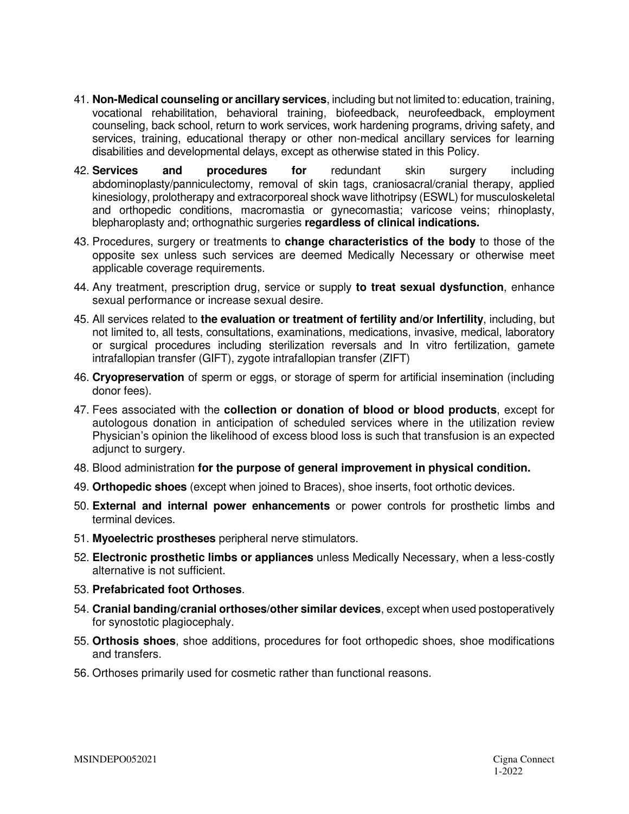- 41. **Non-Medical counseling or ancillary services**, including but not limited to: education, training, vocational rehabilitation, behavioral training, biofeedback, neurofeedback, employment counseling, back school, return to work services, work hardening programs, driving safety, and services, training, educational therapy or other non-medical ancillary services for learning disabilities and developmental delays, except as otherwise stated in this Policy.
- 42. **Services and procedures for** redundant skin surgery including abdominoplasty/panniculectomy, removal of skin tags, craniosacral/cranial therapy, applied kinesiology, prolotherapy and extracorporeal shock wave lithotripsy (ESWL) for musculoskeletal and orthopedic conditions, macromastia or gynecomastia; varicose veins; rhinoplasty, blepharoplasty and; orthognathic surgeries **regardless of clinical indications.**
- 43. Procedures, surgery or treatments to **change characteristics of the body** to those of the opposite sex unless such services are deemed Medically Necessary or otherwise meet applicable coverage requirements.
- 44. Any treatment, prescription drug, service or supply **to treat sexual dysfunction**, enhance sexual performance or increase sexual desire.
- 45. All services related to **the evaluation or treatment of fertility and/or Infertility**, including, but not limited to, all tests, consultations, examinations, medications, invasive, medical, laboratory or surgical procedures including sterilization reversals and In vitro fertilization, gamete intrafallopian transfer (GIFT), zygote intrafallopian transfer (ZIFT)
- 46. **Cryopreservation** of sperm or eggs, or storage of sperm for artificial insemination (including donor fees).
- 47. Fees associated with the **collection or donation of blood or blood products**, except for autologous donation in anticipation of scheduled services where in the utilization review Physician's opinion the likelihood of excess blood loss is such that transfusion is an expected adjunct to surgery.
- 48. Blood administration **for the purpose of general improvement in physical condition.**
- 49. **Orthopedic shoes** (except when joined to Braces), shoe inserts, foot orthotic devices.
- 50. **External and internal power enhancements** or power controls for prosthetic limbs and terminal devices.
- 51. **Myoelectric prostheses** peripheral nerve stimulators.
- 52. **Electronic prosthetic limbs or appliances** unless Medically Necessary, when a less-costly alternative is not sufficient.
- 53. **Prefabricated foot Orthoses**.
- 54. **Cranial banding/cranial orthoses/other similar devices**, except when used postoperatively for synostotic plagiocephaly.
- 55. **Orthosis shoes**, shoe additions, procedures for foot orthopedic shoes, shoe modifications and transfers.
- 56. Orthoses primarily used for cosmetic rather than functional reasons.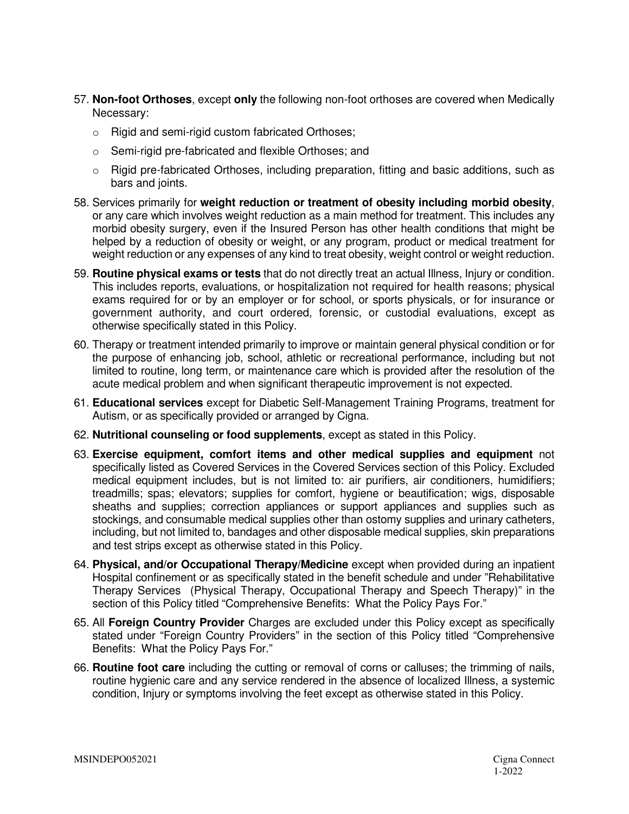- 57. **Non-foot Orthoses**, except **only** the following non-foot orthoses are covered when Medically Necessary:
	- o Rigid and semi-rigid custom fabricated Orthoses;
	- o Semi-rigid pre-fabricated and flexible Orthoses; and
	- $\circ$  Rigid pre-fabricated Orthoses, including preparation, fitting and basic additions, such as bars and joints.
- 58. Services primarily for **weight reduction or treatment of obesity including morbid obesity**, or any care which involves weight reduction as a main method for treatment. This includes any morbid obesity surgery, even if the Insured Person has other health conditions that might be helped by a reduction of obesity or weight, or any program, product or medical treatment for weight reduction or any expenses of any kind to treat obesity, weight control or weight reduction.
- 59. **Routine physical exams or tests** that do not directly treat an actual Illness, Injury or condition. This includes reports, evaluations, or hospitalization not required for health reasons; physical exams required for or by an employer or for school, or sports physicals, or for insurance or government authority, and court ordered, forensic, or custodial evaluations, except as otherwise specifically stated in this Policy.
- 60. Therapy or treatment intended primarily to improve or maintain general physical condition or for the purpose of enhancing job, school, athletic or recreational performance, including but not limited to routine, long term, or maintenance care which is provided after the resolution of the acute medical problem and when significant therapeutic improvement is not expected.
- 61. **Educational services** except for Diabetic Self-Management Training Programs, treatment for Autism, or as specifically provided or arranged by Cigna.
- 62. **Nutritional counseling or food supplements**, except as stated in this Policy.
- 63. **Exercise equipment, comfort items and other medical supplies and equipment** not specifically listed as Covered Services in the Covered Services section of this Policy. Excluded medical equipment includes, but is not limited to: air purifiers, air conditioners, humidifiers; treadmills; spas; elevators; supplies for comfort, hygiene or beautification; wigs, disposable sheaths and supplies; correction appliances or support appliances and supplies such as stockings, and consumable medical supplies other than ostomy supplies and urinary catheters, including, but not limited to, bandages and other disposable medical supplies, skin preparations and test strips except as otherwise stated in this Policy.
- 64. **Physical, and/or Occupational Therapy/Medicine** except when provided during an inpatient Hospital confinement or as specifically stated in the benefit schedule and under "Rehabilitative Therapy Services (Physical Therapy, Occupational Therapy and Speech Therapy)" in the section of this Policy titled "Comprehensive Benefits: What the Policy Pays For."
- 65. All **Foreign Country Provider** Charges are excluded under this Policy except as specifically stated under "Foreign Country Providers" in the section of this Policy titled "Comprehensive Benefits: What the Policy Pays For."
- 66. **Routine foot care** including the cutting or removal of corns or calluses; the trimming of nails, routine hygienic care and any service rendered in the absence of localized Illness, a systemic condition, Injury or symptoms involving the feet except as otherwise stated in this Policy.